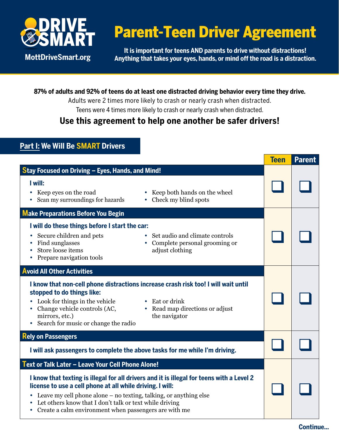

# [Parent-Teen Driver Agreement](www.mottdrivesmart.org)

**It is important for teens AND parents to drive without distractions! Anything that takes your eyes, hands, or mind off the road is a distraction.**

**87% of adults and 92% of teens do at least one distracted driving behavior every time they drive.**

Adults were 2 times more likely to crash or nearly crash when distracted. Teens were 4 times more likely to crash or nearly crash when distracted.

## **Use this agreement to help one another be safer drivers!**

### **Part I: We Will Be SMART Drivers**

|                                                                                                                                                                                                                                                                                                                                                                                                      | <b>Teen</b> | <b>Parent</b> |
|------------------------------------------------------------------------------------------------------------------------------------------------------------------------------------------------------------------------------------------------------------------------------------------------------------------------------------------------------------------------------------------------------|-------------|---------------|
| Stay Focused on Driving - Eyes, Hands, and Mind!<br>I will:<br>Keep eyes on the road<br>Keep both hands on the wheel<br>Scan my surroundings for hazards<br>Check my blind spots                                                                                                                                                                                                                     |             |               |
| <b>Make Preparations Before You Begin</b><br>I will do these things before I start the car:<br>Set audio and climate controls<br>Secure children and pets<br>Find sunglasses<br>Complete personal grooming or<br>Store loose items<br>adjust clothing<br>Prepare navigation tools                                                                                                                    |             |               |
| <b>Avoid All Other Activities</b><br>I know that non-cell phone distractions increase crash risk too! I will wait until<br>stopped to do things like:<br>Look for things in the vehicle<br>Eat or drink<br>• Change vehicle controls (AC,<br>Read map directions or adjust<br>$\bullet$<br>mirrors, etc.)<br>the navigator<br>• Search for music or change the radio                                 |             |               |
| <b>Rely on Passengers</b><br>I will ask passengers to complete the above tasks for me while I'm driving.                                                                                                                                                                                                                                                                                             |             |               |
| Text or Talk Later - Leave Your Cell Phone Alone!<br>I know that texting is illegal for all drivers and it is illegal for teens with a Level 2<br>license to use a cell phone at all while driving. I will:<br>Leave my cell phone alone – no texting, talking, or anything else<br>Let others know that I don't talk or text while driving<br>Create a calm environment when passengers are with me |             |               |